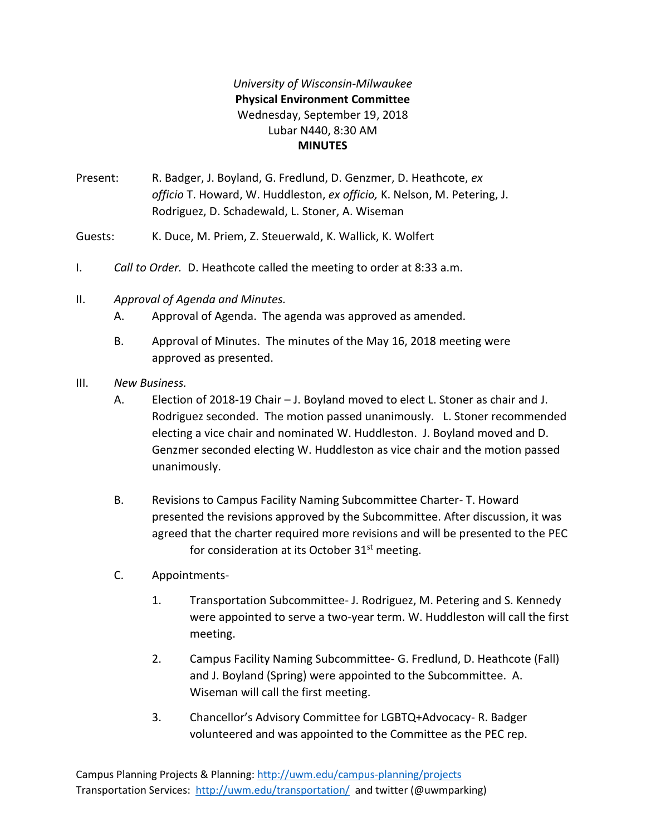## *University of Wisconsin-Milwaukee* **Physical Environment Committee** Wednesday, September 19, 2018 Lubar N440, 8:30 AM **MINUTES**

Present: R. Badger, J. Boyland, G. Fredlund, D. Genzmer, D. Heathcote, *ex officio* T. Howard, W. Huddleston, *ex officio,* K. Nelson, M. Petering, J. Rodriguez, D. Schadewald, L. Stoner, A. Wiseman

Guests: K. Duce, M. Priem, Z. Steuerwald, K. Wallick, K. Wolfert

- I. *Call to Order.* D. Heathcote called the meeting to order at 8:33 a.m.
- II. *Approval of Agenda and Minutes.*
	- A. Approval of Agenda. The agenda was approved as amended.
	- B. Approval of Minutes. The minutes of the May 16, 2018 meeting were approved as presented.
- III. *New Business.*
	- A. Election of 2018-19 Chair J. Boyland moved to elect L. Stoner as chair and J. Rodriguez seconded. The motion passed unanimously. L. Stoner recommended electing a vice chair and nominated W. Huddleston. J. Boyland moved and D. Genzmer seconded electing W. Huddleston as vice chair and the motion passed unanimously.
	- B. Revisions to Campus Facility Naming Subcommittee Charter- T. Howard presented the revisions approved by the Subcommittee. After discussion, it was agreed that the charter required more revisions and will be presented to the PEC for consideration at its October  $31<sup>st</sup>$  meeting.
	- C. Appointments-
		- 1. Transportation Subcommittee- J. Rodriguez, M. Petering and S. Kennedy were appointed to serve a two-year term. W. Huddleston will call the first meeting.
		- 2. Campus Facility Naming Subcommittee- G. Fredlund, D. Heathcote (Fall) and J. Boyland (Spring) were appointed to the Subcommittee. A. Wiseman will call the first meeting.
		- 3. Chancellor's Advisory Committee for LGBTQ+Advocacy- R. Badger volunteered and was appointed to the Committee as the PEC rep.